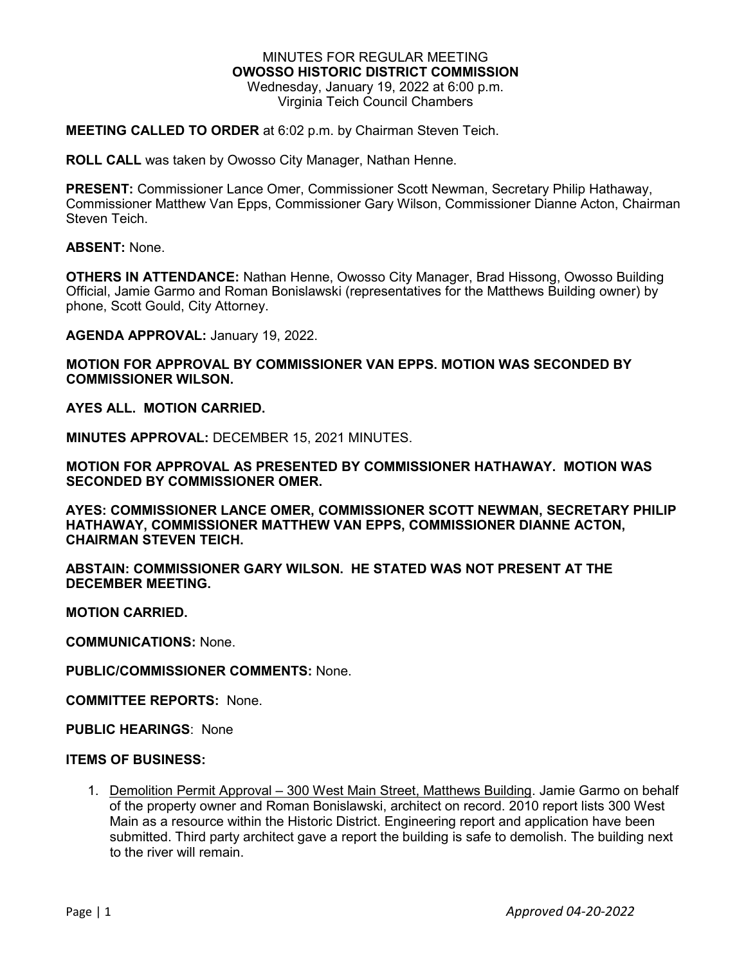#### MINUTES FOR REGULAR MEETING **OWOSSO HISTORIC DISTRICT COMMISSION** Wednesday, January 19, 2022 at 6:00 p.m. Virginia Teich Council Chambers

#### **MEETING CALLED TO ORDER** at 6:02 p.m. by Chairman Steven Teich.

**ROLL CALL** was taken by Owosso City Manager, Nathan Henne.

**PRESENT:** Commissioner Lance Omer, Commissioner Scott Newman, Secretary Philip Hathaway, Commissioner Matthew Van Epps, Commissioner Gary Wilson, Commissioner Dianne Acton, Chairman Steven Teich.

**ABSENT:** None.

**OTHERS IN ATTENDANCE:** Nathan Henne, Owosso City Manager, Brad Hissong, Owosso Building Official, Jamie Garmo and Roman Bonislawski (representatives for the Matthews Building owner) by phone, Scott Gould, City Attorney.

**AGENDA APPROVAL:** January 19, 2022.

**MOTION FOR APPROVAL BY COMMISSIONER VAN EPPS. MOTION WAS SECONDED BY COMMISSIONER WILSON.**

**AYES ALL. MOTION CARRIED.**

**MINUTES APPROVAL:** DECEMBER 15, 2021 MINUTES.

**MOTION FOR APPROVAL AS PRESENTED BY COMMISSIONER HATHAWAY. MOTION WAS SECONDED BY COMMISSIONER OMER.**

**AYES: COMMISSIONER LANCE OMER, COMMISSIONER SCOTT NEWMAN, SECRETARY PHILIP HATHAWAY, COMMISSIONER MATTHEW VAN EPPS, COMMISSIONER DIANNE ACTON, CHAIRMAN STEVEN TEICH.**

**ABSTAIN: COMMISSIONER GARY WILSON. HE STATED WAS NOT PRESENT AT THE DECEMBER MEETING.**

**MOTION CARRIED.**

**COMMUNICATIONS:** None.

**PUBLIC/COMMISSIONER COMMENTS:** None.

**COMMITTEE REPORTS:** None.

**PUBLIC HEARINGS**: None

#### **ITEMS OF BUSINESS:**

1. Demolition Permit Approval - 300 West Main Street, Matthews Building. Jamie Garmo on behalf of the property owner and Roman Bonislawski, architect on record. 2010 report lists 300 West Main as a resource within the Historic District. Engineering report and application have been submitted. Third party architect gave a report the building is safe to demolish. The building next to the river will remain.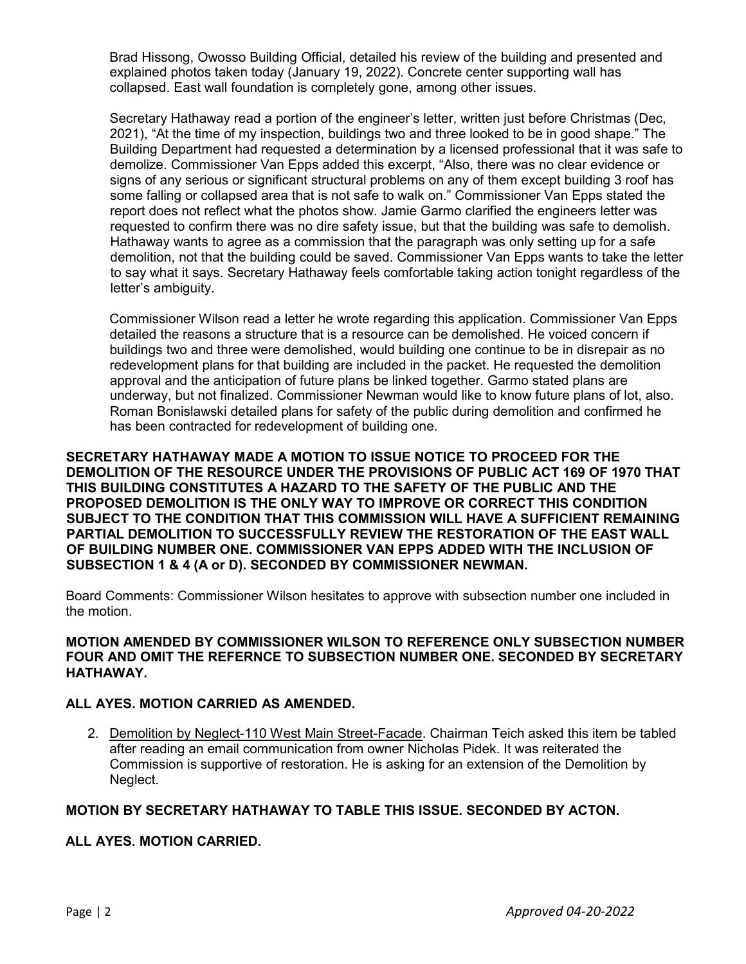Brad Hissong, Owosso Building Official, detailed his review of the building and presented and explained photos taken today (January 19, 2022). Concrete center supporting wall has collapsed. East wall foundation is completely gone, among other issues.

Secretary Hathaway read a portion of the engineer's letter, written just before Christmas (Dec, 2021), "At the time of my inspection, buildings two and three looked to be in good shape." The Building Department had requested a determination by a licensed professional that it was safe to demolize. Commissioner Van Epps added this excerpt, "Also, there was no clear evidence or signs of any serious or significant structural problems on any of them except building 3 roof has some falling or collapsed area that is not safe to walk on." Commissioner Van Epps stated the report does not reflect what the photos show. Jamie Garmo clarified the engineers letter was requested to confirm there was no dire safety issue, but that the building was safe to demolish. Hathaway wants to agree as a commission that the paragraph was only setting up for a safe demolition, not that the building could be saved. Commissioner Van Epps wants to take the letter to say what it says. Secretary Hathaway feels comfortable taking action tonight regardless of the letter's ambiguity.

Commissioner Wilson read a letter he wrote regarding this application. Commissioner Van Epps detailed the reasons a structure that is a resource can be demolished. He voiced concern if buildings two and three were demolished, would building one continue to be in disrepair as no redevelopment plans for that building are included in the packet. He requested the demolition approval and the anticipation of future plans be linked together. Garmo stated plans are underway, but not finalized. Commissioner Newman would like to know future plans of lot, also. Roman Bonislawski detailed plans for safety of the public during demolition and confirmed he has been contracted for redevelopment of building one.

**SECRETARY HATHAWAY MADE A MOTION TO ISSUE NOTICE TO PROCEED FOR THE DEMOLITION OF THE RESOURCE UNDER THE PROVISIONS OF PUBLIC ACT 169 OF 1970 THAT THIS BUILDING CONSTITUTES A HAZARD TO THE SAFETY OF THE PUBLIC AND THE PROPOSED DEMOLITION IS THE ONLY WAY TO IMPROVE OR CORRECT THIS CONDITION SUBJECT TO THE CONDITION THAT THIS COMMISSION WILL HAVE A SUFFICIENT REMAINING PARTIAL DEMOLITION TO SUCCESSFULLY REVIEW THE RESTORATION OF THE EAST WALL OF BUILDING NUMBER ONE. COMMISSIONER VAN EPPS ADDED WITH THE INCLUSION OF SUBSECTION 1 & 4 (A or D). SECONDED BY COMMISSIONER NEWMAN.**

Board Comments: Commissioner Wilson hesitates to approve with subsection number one included in the motion.

### **MOTION AMENDED BY COMMISSIONER WILSON TO REFERENCE ONLY SUBSECTION NUMBER FOUR AND OMIT THE REFERNCE TO SUBSECTION NUMBER ONE. SECONDED BY SECRETARY HATHAWAY.**

### **ALL AYES. MOTION CARRIED AS AMENDED.**

2. Demolition by Neglect-110 West Main Street-Facade. Chairman Teich asked this item be tabled after reading an email communication from owner Nicholas Pidek. It was reiterated the Commission is supportive of restoration. He is asking for an extension of the Demolition by Neglect.

# **MOTION BY SECRETARY HATHAWAY TO TABLE THIS ISSUE. SECONDED BY ACTON.**

### **ALL AYES. MOTION CARRIED.**